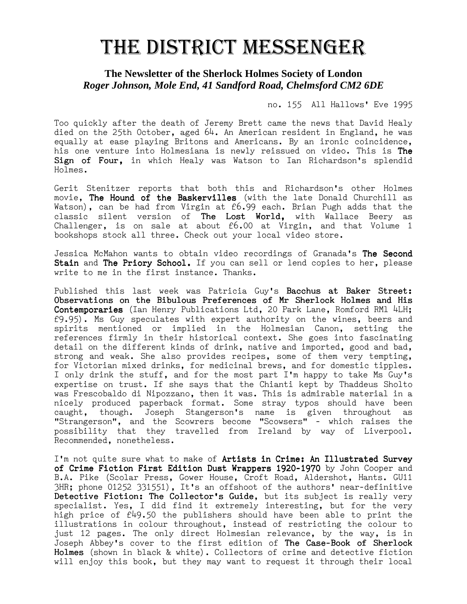## THE DISTRICT MESSENGER

## **The Newsletter of the Sherlock Holmes Society of London**  *Roger Johnson, Mole End, 41 Sandford Road, Chelmsford CM2 6DE*

no. 155 All Hallows' Eve 1995

Too quickly after the death of Jeremy Brett came the news that David Healy died on the 25th October, aged 64. An American resident in England, he was equally at ease playing Britons and Americans. By an ironic coincidence, his one venture into Holmesiana is newly reissued on video. This is The Sign of Four, in which Healy was Watson to Ian Richardson's splendid Holmes.

Gerit Stenitzer reports that both this and Richardson's other Holmes movie, The Hound of the Baskervilles (with the late Donald Churchill as Watson), can be had from Virgin at £6.99 each. Brian Pugh adds that the classic silent version of **The Lost World,** with Wallace Beery as Challenger, is on sale at about £6.00 at Virgin, and that Volume 1 bookshops stock all three. Check out your local video store.

Jessica McMahon wants to obtain video recordings of Granada's The Second Stain and The Priory School. If you can sell or lend copies to her, please write to me in the first instance. Thanks.

Published this last week was Patricia Guy's Bacchus at Baker Street: Observations on the Bibulous Preferences of Mr Sherlock Holmes and His Contemporaries (Ian Henry Publications Ltd, 20 Park Lane, Romford RM1 4LH; £9.95). Ms Guy speculates with expert authority on the wines, beers and spirits mentioned or implied in the Holmesian Canon, setting the references firmly in their historical context. She goes into fascinating detail on the different kinds of drink, native and imported, good and bad, strong and weak. She also provides recipes, some of them very tempting, for Victorian mixed drinks, for medicinal brews, and for domestic tipples. I only drink the stuff, and for the most part I'm happy to take Ms Guy's expertise on trust. If she says that the Chianti kept by Thaddeus Sholto was Frescobaldo di Nipozzano, then it was. This is admirable material in a nicely produced paperback format. Some stray typos should have been caught, though. Joseph Stangerson's name is given throughout as "Strangerson", and the Scowrers become "Scowsers" - which raises the possibility that they travelled from Ireland by way of Liverpool. Recommended, nonetheless.

I'm not quite sure what to make of Artists in Crime: An Illustrated Survey of Crime Fiction First Edition Dust Wrappers 1920-1970 by John Cooper and B.A. Pike (Scolar Press, Gower House, Croft Road, Aldershot, Hants. GU11 3HR; phone 01252 331551), It's an offshoot of the authors' near-definitive Detective Fiction: The Collector's Guide, but its subject is really very specialist. Yes, I did find it extremely interesting, but for the very high price of  $f49.50$  the publishers should have been able to print the illustrations in colour throughout, instead of restricting the colour to just 12 pages. The only direct Holmesian relevance, by the way, is in Joseph Abbey's cover to the first edition of The Case-Book of Sherlock Holmes (shown in black & white). Collectors of crime and detective fiction will enjoy this book, but they may want to request it through their local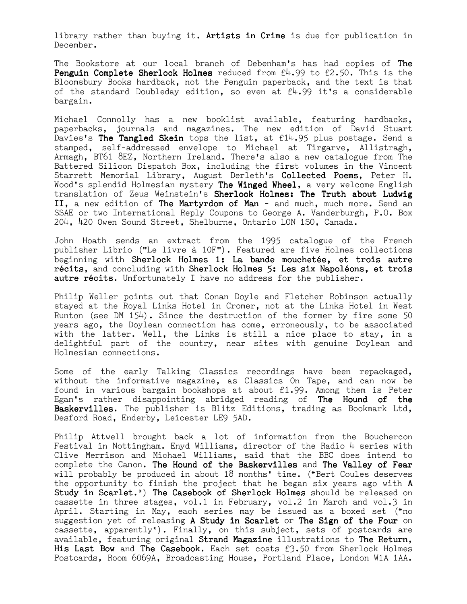library rather than buying it. Artists in Crime is due for publication in December.

The Bookstore at our local branch of Debenham's has had copies of The **Penguin Complete Sherlock Holmes** reduced from  $f(x, 99)$  to  $f(2.50)$ . This is the Bloomsbury Books hardback, not the Penguin paperback, and the text is that of the standard Doubleday edition, so even at  $f4.99$  it's a considerable bargain.

Michael Connolly has a new booklist available, featuring hardbacks, paperbacks, journals and magazines. The new edition of David Stuart Davies's The Tangled Skein tops the list, at  $f14.95$  plus postage. Send a stamped, self-addressed envelope to Michael at Tirgarve, Allistragh, Armagh, BT61 8EZ, Northern Ireland. There's also a new catalogue from The Battered Silicon Dispatch Box, including the first volumes in the Vincent Starrett Memorial Library, August Derleth's Collected Poems, Peter H. Wood's splendid Holmesian mystery The Winged Wheel, a very welcome English translation of Zeus Weinstein's Sherlock Holmes: The Truth about Ludwig II, a new edition of The Martyrdom of Man - and much, much more. Send an SSAE or two International Reply Coupons to George A. Vanderburgh, P.O. Box 204, 420 Owen Sound Street, Shelburne, Ontario LON 1SO, Canada.

John Hoath sends an extract from the 1995 catalogue of the French publisher Librio ("Le livre à 10F"). Featured are five Holmes collections beginning with Sherlock Holmes 1: La bande mouchetée, et trois autre récits, and concluding with Sherlock Holmes 5: Les six Napoléons, et trois autre récits. Unfortunately I have no address for the publisher.

Philip Weller points out that Conan Doyle and Fletcher Robinson actually stayed at the Royal Links Hotel in Cromer, not at the Links Hotel in West Runton (see DM  $154$ ). Since the destruction of the former by fire some 50 years ago, the Doylean connection has come, erroneously, to be associated with the latter. Well, the Links is still a nice place to stay, in a delightful part of the country, near sites with genuine Doylean and Holmesian connections.

Some of the early Talking Classics recordings have been repackaged, without the informative magazine, as Classics On Tape, and can now be found in various bargain bookshops at about £1.99. Among them is Peter Egan's rather disappointing abridged reading of The Hound of the Baskervilles. The publisher is Blitz Editions, trading as Bookmark Ltd. Desford Road, Enderby, Leicester LE9 5AD.

Philip Attwell brought back a lot of information from the Bouchercon Festival in Nottingham. Enyd Williams, director of the Radio  $\mu$  series with Clive Merrison and Michael Williams, said that the BBC does intend to complete the Canon. The Hound of the Baskervilles and The Valley of Fear will probably be produced in about 18 months' time. (\*Bert Coules deserves the opportunity to finish the project that he began six years ago with A Study in Scarlet.\*) The Casebook of Sherlock Holmes should be released on cassette in three stages, vol.1 in February, vol.2 in March and vol.3 in April. Starting in May, each series may be issued as a boxed set (\*no suggestion yet of releasing A Study in Scarlet or The Sign of the Four on cassette, apparently\*). Finally, on this subject, sets of postcards are available, featuring original Strand Magazine illustrations to The Return, His Last Bow and The Casebook. Each set costs  $£3.50$  from Sherlock Holmes Postcards, Room 6069A, Broadcasting House, Portland Place, London W1A 1AA.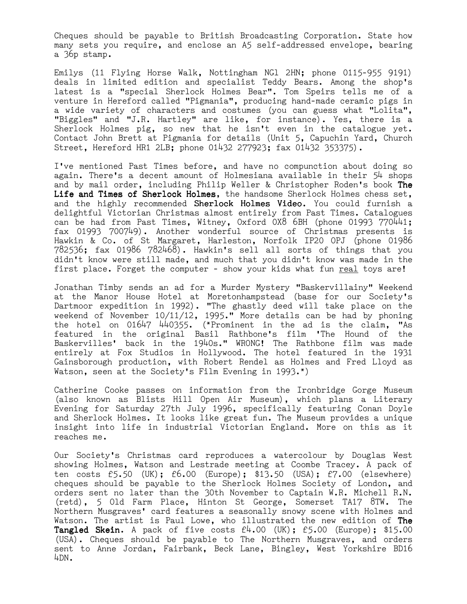Cheques should be payable to British Broadcasting Corporation. State how many sets you require, and enclose an A5 self-addressed envelope, bearing a 36p stamp.

Emilys (11 Flying Horse Walk, Nottingham NGl 2HN; phone 0115-955 9191) deals in limited edition and specialist Teddy Bears. Among the shop's latest is a "special Sherlock Holmes Bear". Tom Speirs tells me of a venture in Hereford called "Pigmania", producing hand-made ceramic pigs in a wide variety of characters and costumes (you can guess what "Lolita", "Biggles" and "J.R. Hartley" are like, for instance). Yes, there is a Sherlock Holmes pig, so new that he isn't even in the catalogue yet. Contact John Brett at Pigmania for details (Unit 5, Capuchin Yard, Church Street, Hereford HR1 2LB; phone 01432 277923; fax 01432 353375).

I've mentioned Past Times before, and have no compunction about doing so again. There's a decent amount of Holmesiana available in their 54 shops and by mail order, including Philip Weller & Christopher Roden's book The Life and Times of Sherlock Holmes, the handsome Sherlock Holmes chess set, and the highly recommended Sherlock Holmes Video. You could furnish a delightful Victorian Christmas almost entirely from Past Times. Catalogues can be had from Past Times, Witney, Oxford 0X8 6BH (phone 01993 770441; fax 01993 700749). Another wonderful source of Christmas presents is Hawkin & Co. of St Margaret, Harleston, Norfolk IP20 OPJ (phone 01986 782536; fax 01986 782468). Hawkin's sell all sorts of things that you didn't know were still made, and much that you didn't know was made in the first place. Forget the computer - show your kids what fun real toys are!

Jonathan Timby sends an ad for a Murder Mystery "Baskervillainy" Weekend at the Manor House Hotel at Moretonhampstead (base for our Society's Dartmoor expedition in 1992). "The ghastly deed will take place on the weekend of November 10/11/12, 1995." More details can be had by phoning the hotel on 01647 440355. (\*Prominent in the ad is the claim, "As featured in the original Basil Rathbone's film 'The Hound of the Baskervilles' back in the 1940s." WRONG! The Rathbone film was made entirely at Fox Studios in Hollywood. The hotel featured in the 1931 Gainsborough production, with Robert Rendel as Holmes and Fred Lloyd as Watson, seen at the Society's Film Evening in 1993.\*)

Catherine Cooke passes on information from the Ironbridge Gorge Museum (also known as Blists Hill Open Air Museum), which plans a Literary Evening for Saturday 27th July 1996, specifically featuring Conan Doyle and Sherlock Holmes. It looks like great fun. The Museum provides a unique insight into life in industrial Victorian England. More on this as it reaches me.

Our Society's Christmas card reproduces a watercolour by Douglas West showing Holmes, Watson and Lestrade meeting at Coombe Tracey. A pack of ten costs £5.50 (UK); £6.00 (Europe); \$13.50 (USA); £7.00 (elsewhere) cheques should be payable to the Sherlock Holmes Society of London, and orders sent no later than the 30th November to Captain W.R. Michell R.N. (retd), 5 Old Farm Place, Hinton St George, Somerset TA17 8TW. The Northern Musgraves' card features a seasonally snowy scene with Holmes and Watson. The artist is Paul Lowe, who illustrated the new edition of The **Tangled Skein.** A pack of five costs  $f(x) = f(0) + f(0)$  (Europe); \$15.00 (USA). Cheques should be payable to The Northern Musgraves, and orders sent to Anne Jordan, Fairbank, Beck Lane, Bingley, West Yorkshire BD16 4DN.